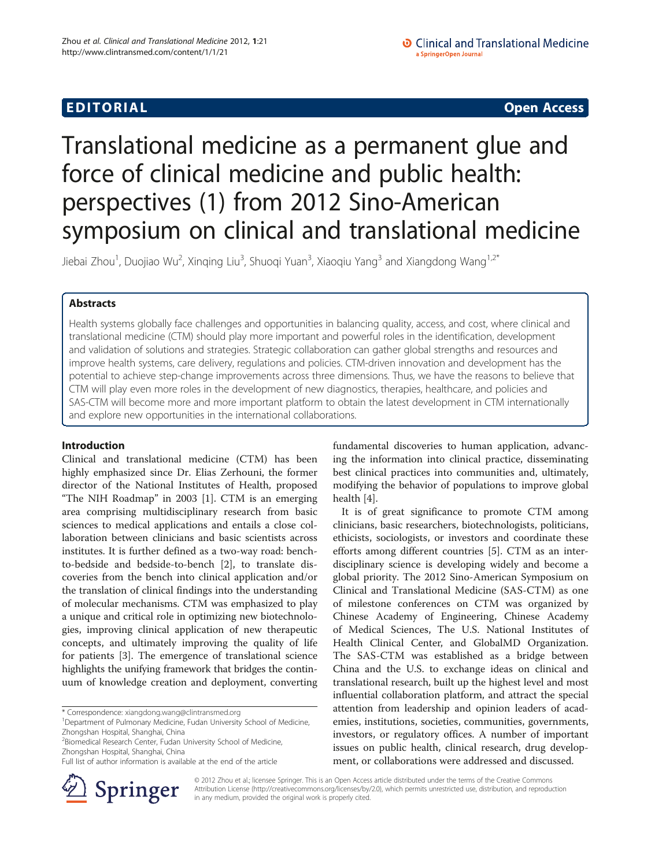## **EDITORIAL** CONTROL CONTROL CONTROL CONTROL CONTROL CONTROL CONTROL CONTROL CONTROL CONTROL CONTROL CONTROL CONTROL CONTROL CONTROL CONTROL CONTROL CONTROL CONTROL CONTROL CONTROL CONTROL CONTROL CONTROL CONTROL CONTROL CO

# Translational medicine as a permanent glue and force of clinical medicine and public health: perspectives (1) from 2012 Sino-American symposium on clinical and translational medicine

Jiebai Zhou<sup>1</sup>, Duojiao Wu<sup>2</sup>, Xinqing Liu<sup>3</sup>, Shuoqi Yuan<sup>3</sup>, Xiaoqiu Yang<sup>3</sup> and Xiangdong Wang<sup>1,2\*</sup>

## **Abstracts**

Health systems globally face challenges and opportunities in balancing quality, access, and cost, where clinical and translational medicine (CTM) should play more important and powerful roles in the identification, development and validation of solutions and strategies. Strategic collaboration can gather global strengths and resources and improve health systems, care delivery, regulations and policies. CTM-driven innovation and development has the potential to achieve step-change improvements across three dimensions. Thus, we have the reasons to believe that CTM will play even more roles in the development of new diagnostics, therapies, healthcare, and policies and SAS-CTM will become more and more important platform to obtain the latest development in CTM internationally and explore new opportunities in the international collaborations.

### Introduction

Clinical and translational medicine (CTM) has been highly emphasized since Dr. Elias Zerhouni, the former director of the National Institutes of Health, proposed "The NIH Roadmap" in 2003 [[1\]](#page-3-0). CTM is an emerging area comprising multidisciplinary research from basic sciences to medical applications and entails a close collaboration between clinicians and basic scientists across institutes. It is further defined as a two-way road: benchto-bedside and bedside-to-bench [[2\]](#page-3-0), to translate discoveries from the bench into clinical application and/or the translation of clinical findings into the understanding of molecular mechanisms. CTM was emphasized to play a unique and critical role in optimizing new biotechnologies, improving clinical application of new therapeutic concepts, and ultimately improving the quality of life for patients [[3\]](#page-3-0). The emergence of translational science highlights the unifying framework that bridges the continuum of knowledge creation and deployment, converting

\* Correspondence: [xiangdong.wang@clintransmed.org](mailto:xiangdong.wang@clintransmed.org) <sup>1</sup>

<sup>1</sup>Department of Pulmonary Medicine, Fudan University School of Medicine, Zhongshan Hospital, Shanghai, China

2 Biomedical Research Center, Fudan University School of Medicine, Zhongshan Hospital, Shanghai, China



It is of great significance to promote CTM among clinicians, basic researchers, biotechnologists, politicians, ethicists, sociologists, or investors and coordinate these efforts among different countries [[5\]](#page-3-0). CTM as an interdisciplinary science is developing widely and become a global priority. The 2012 Sino-American Symposium on Clinical and Translational Medicine (SAS-CTM) as one of milestone conferences on CTM was organized by Chinese Academy of Engineering, Chinese Academy of Medical Sciences, The U.S. National Institutes of Health Clinical Center, and GlobalMD Organization. The SAS-CTM was established as a bridge between China and the U.S. to exchange ideas on clinical and translational research, built up the highest level and most influential collaboration platform, and attract the special attention from leadership and opinion leaders of academies, institutions, societies, communities, governments, investors, or regulatory offices. A number of important issues on public health, clinical research, drug development, or collaborations were addressed and discussed.



© 2012 Zhou et al.; licensee Springer. This is an Open Access article distributed under the terms of the Creative Commons Attribution License [\(http://creativecommons.org/licenses/by/2.0\)](http://creativecommons.org/licenses/by/2.0), which permits unrestricted use, distribution, and reproduction in any medium, provided the original work is properly cited.

Full list of author information is available at the end of the article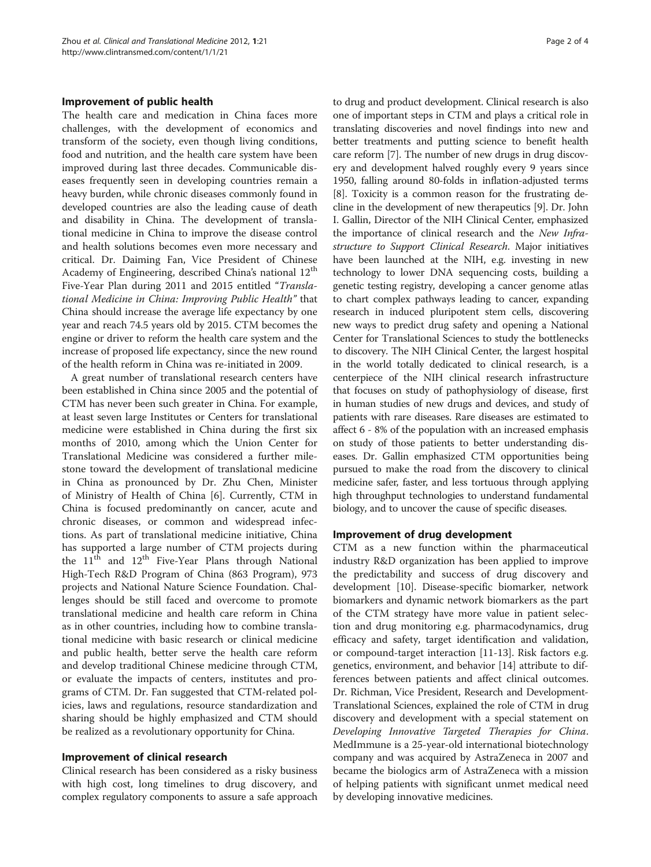#### Improvement of public health

The health care and medication in China faces more challenges, with the development of economics and transform of the society, even though living conditions, food and nutrition, and the health care system have been improved during last three decades. Communicable diseases frequently seen in developing countries remain a heavy burden, while chronic diseases commonly found in developed countries are also the leading cause of death and disability in China. The development of translational medicine in China to improve the disease control and health solutions becomes even more necessary and critical. Dr. Daiming Fan, Vice President of Chinese Academy of Engineering, described China's national 12<sup>th</sup> Five-Year Plan during 2011 and 2015 entitled "Translational Medicine in China: Improving Public Health" that China should increase the average life expectancy by one year and reach 74.5 years old by 2015. CTM becomes the engine or driver to reform the health care system and the increase of proposed life expectancy, since the new round of the health reform in China was re-initiated in 2009.

A great number of translational research centers have been established in China since 2005 and the potential of CTM has never been such greater in China. For example, at least seven large Institutes or Centers for translational medicine were established in China during the first six months of 2010, among which the Union Center for Translational Medicine was considered a further milestone toward the development of translational medicine in China as pronounced by Dr. Zhu Chen, Minister of Ministry of Health of China [[6\]](#page-3-0). Currently, CTM in China is focused predominantly on cancer, acute and chronic diseases, or common and widespread infections. As part of translational medicine initiative, China has supported a large number of CTM projects during the  $11<sup>th</sup>$  and  $12<sup>th</sup>$  Five-Year Plans through National High-Tech R&D Program of China (863 Program), 973 projects and National Nature Science Foundation. Challenges should be still faced and overcome to promote translational medicine and health care reform in China as in other countries, including how to combine translational medicine with basic research or clinical medicine and public health, better serve the health care reform and develop traditional Chinese medicine through CTM, or evaluate the impacts of centers, institutes and programs of CTM. Dr. Fan suggested that CTM-related policies, laws and regulations, resource standardization and sharing should be highly emphasized and CTM should be realized as a revolutionary opportunity for China.

#### Improvement of clinical research

Clinical research has been considered as a risky business with high cost, long timelines to drug discovery, and complex regulatory components to assure a safe approach to drug and product development. Clinical research is also one of important steps in CTM and plays a critical role in translating discoveries and novel findings into new and better treatments and putting science to benefit health care reform [\[7](#page-3-0)]. The number of new drugs in drug discovery and development halved roughly every 9 years since 1950, falling around 80-folds in inflation-adjusted terms [[8\]](#page-3-0). Toxicity is a common reason for the frustrating decline in the development of new therapeutics [[9](#page-3-0)]. Dr. John I. Gallin, Director of the NIH Clinical Center, emphasized the importance of clinical research and the New Infrastructure to Support Clinical Research. Major initiatives have been launched at the NIH, e.g. investing in new technology to lower DNA sequencing costs, building a genetic testing registry, developing a cancer genome atlas to chart complex pathways leading to cancer, expanding research in induced pluripotent stem cells, discovering new ways to predict drug safety and opening a National Center for Translational Sciences to study the bottlenecks to discovery. The NIH Clinical Center, the largest hospital in the world totally dedicated to clinical research, is a centerpiece of the NIH clinical research infrastructure that focuses on study of pathophysiology of disease, first in human studies of new drugs and devices, and study of patients with rare diseases. Rare diseases are estimated to affect 6 - 8% of the population with an increased emphasis on study of those patients to better understanding diseases. Dr. Gallin emphasized CTM opportunities being pursued to make the road from the discovery to clinical medicine safer, faster, and less tortuous through applying high throughput technologies to understand fundamental biology, and to uncover the cause of specific diseases.

#### Improvement of drug development

CTM as a new function within the pharmaceutical industry R&D organization has been applied to improve the predictability and success of drug discovery and development [[10\]](#page-3-0). Disease-specific biomarker, network biomarkers and dynamic network biomarkers as the part of the CTM strategy have more value in patient selection and drug monitoring e.g. pharmacodynamics, drug efficacy and safety, target identification and validation, or compound-target interaction [[11-13](#page-3-0)]. Risk factors e.g. genetics, environment, and behavior [\[14](#page-3-0)] attribute to differences between patients and affect clinical outcomes. Dr. Richman, Vice President, Research and Development-Translational Sciences, explained the role of CTM in drug discovery and development with a special statement on Developing Innovative Targeted Therapies for China. MedImmune is a 25-year-old international biotechnology company and was acquired by AstraZeneca in 2007 and became the biologics arm of AstraZeneca with a mission of helping patients with significant unmet medical need by developing innovative medicines.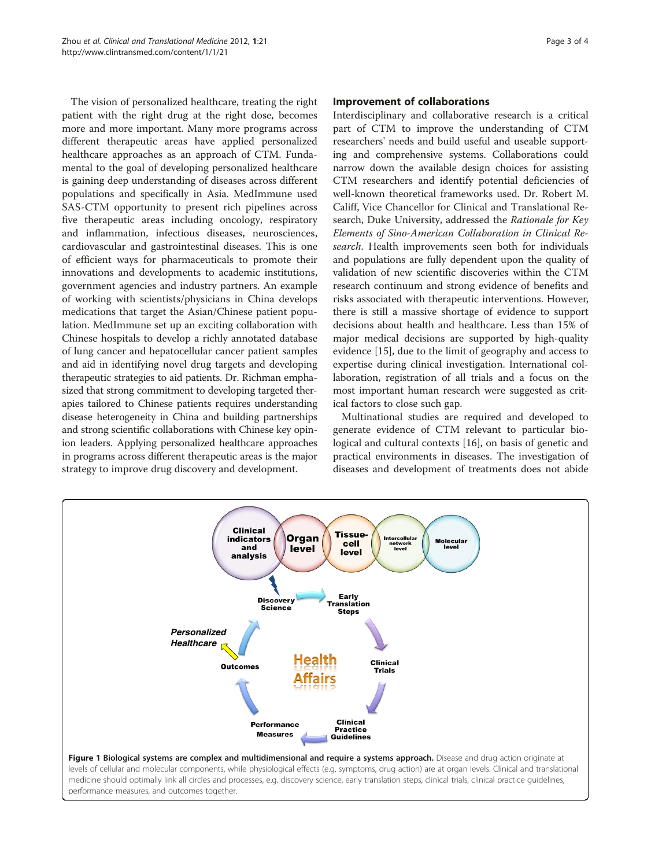<span id="page-2-0"></span>The vision of personalized healthcare, treating the right patient with the right drug at the right dose, becomes more and more important. Many more programs across different therapeutic areas have applied personalized healthcare approaches as an approach of CTM. Fundamental to the goal of developing personalized healthcare is gaining deep understanding of diseases across different populations and specifically in Asia. MedImmune used SAS-CTM opportunity to present rich pipelines across five therapeutic areas including oncology, respiratory and inflammation, infectious diseases, neurosciences, cardiovascular and gastrointestinal diseases. This is one of efficient ways for pharmaceuticals to promote their innovations and developments to academic institutions, government agencies and industry partners. An example of working with scientists/physicians in China develops medications that target the Asian/Chinese patient population. MedImmune set up an exciting collaboration with Chinese hospitals to develop a richly annotated database of lung cancer and hepatocellular cancer patient samples and aid in identifying novel drug targets and developing therapeutic strategies to aid patients. Dr. Richman emphasized that strong commitment to developing targeted therapies tailored to Chinese patients requires understanding disease heterogeneity in China and building partnerships and strong scientific collaborations with Chinese key opinion leaders. Applying personalized healthcare approaches in programs across different therapeutic areas is the major strategy to improve drug discovery and development.

#### Improvement of collaborations

Interdisciplinary and collaborative research is a critical part of CTM to improve the understanding of CTM researchers' needs and build useful and useable supporting and comprehensive systems. Collaborations could narrow down the available design choices for assisting CTM researchers and identify potential deficiencies of well-known theoretical frameworks used. Dr. Robert M. Califf, Vice Chancellor for Clinical and Translational Research, Duke University, addressed the Rationale for Key Elements of Sino-American Collaboration in Clinical Research. Health improvements seen both for individuals and populations are fully dependent upon the quality of validation of new scientific discoveries within the CTM research continuum and strong evidence of benefits and risks associated with therapeutic interventions. However, there is still a massive shortage of evidence to support decisions about health and healthcare. Less than 15% of major medical decisions are supported by high-quality evidence [[15\]](#page-3-0), due to the limit of geography and access to expertise during clinical investigation. International collaboration, registration of all trials and a focus on the most important human research were suggested as critical factors to close such gap.

Multinational studies are required and developed to generate evidence of CTM relevant to particular biological and cultural contexts [[16](#page-3-0)], on basis of genetic and practical environments in diseases. The investigation of diseases and development of treatments does not abide